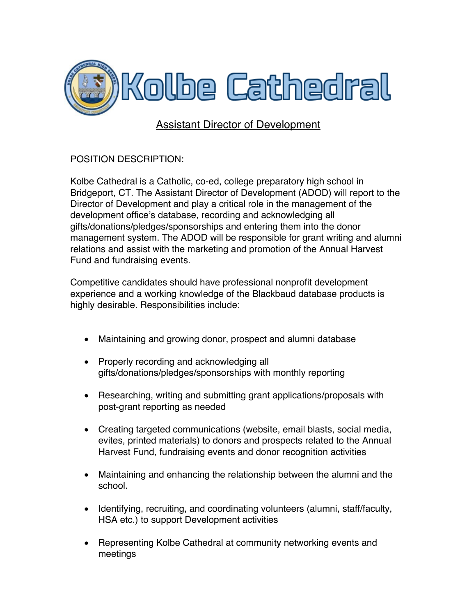

## Assistant Director of Development

POSITION DESCRIPTION:

Kolbe Cathedral is a Catholic, co-ed, college preparatory high school in Bridgeport, CT. The Assistant Director of Development (ADOD) will report to the Director of Development and play a critical role in the management of the development office's database, recording and acknowledging all gifts/donations/pledges/sponsorships and entering them into the donor management system. The ADOD will be responsible for grant writing and alumni relations and assist with the marketing and promotion of the Annual Harvest Fund and fundraising events.

Competitive candidates should have professional nonprofit development experience and a working knowledge of the Blackbaud database products is highly desirable. Responsibilities include:

- Maintaining and growing donor, prospect and alumni database
- Properly recording and acknowledging all gifts/donations/pledges/sponsorships with monthly reporting
- Researching, writing and submitting grant applications/proposals with post-grant reporting as needed
- Creating targeted communications (website, email blasts, social media, evites, printed materials) to donors and prospects related to the Annual Harvest Fund, fundraising events and donor recognition activities
- Maintaining and enhancing the relationship between the alumni and the school.
- Identifying, recruiting, and coordinating volunteers (alumni, staff/faculty, HSA etc.) to support Development activities
- Representing Kolbe Cathedral at community networking events and meetings